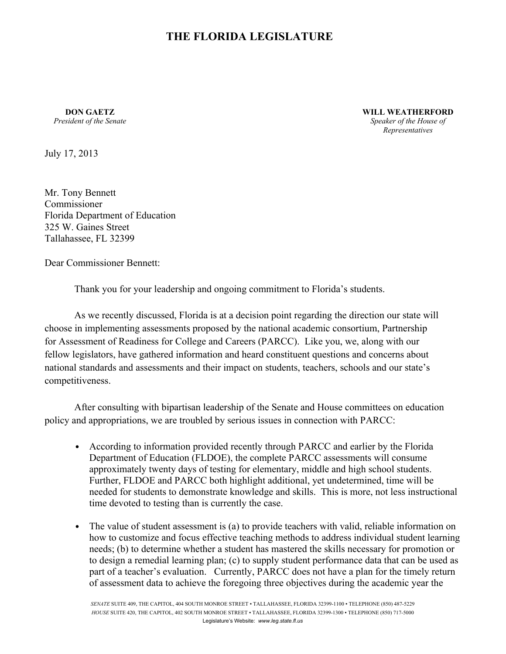## **THE FLORIDA LEGISLATURE**

**DON GAETZ** *President of the Senate* **WILL WEATHERFORD** *Speaker of the House of Representatives*

July 17, 2013

Mr. Tony Bennett Commissioner Florida Department of Education 325 W. Gaines Street Tallahassee, FL 32399

Dear Commissioner Bennett:

Thank you for your leadership and ongoing commitment to Florida's students.

As we recently discussed, Florida is at a decision point regarding the direction our state will choose in implementing assessments proposed by the national academic consortium, Partnership for Assessment of Readiness for College and Careers (PARCC). Like you, we, along with our fellow legislators, have gathered information and heard constituent questions and concerns about national standards and assessments and their impact on students, teachers, schools and our state's competitiveness.

After consulting with bipartisan leadership of the Senate and House committees on education policy and appropriations, we are troubled by serious issues in connection with PARCC:

- According to information provided recently through PARCC and earlier by the Florida Department of Education (FLDOE), the complete PARCC assessments will consume approximately twenty days of testing for elementary, middle and high school students. Further, FLDOE and PARCC both highlight additional, yet undetermined, time will be needed for students to demonstrate knowledge and skills. This is more, not less instructional time devoted to testing than is currently the case.
- The value of student assessment is (a) to provide teachers with valid, reliable information on how to customize and focus effective teaching methods to address individual student learning needs; (b) to determine whether a student has mastered the skills necessary for promotion or to design a remedial learning plan; (c) to supply student performance data that can be used as part of a teacher's evaluation. Currently, PARCC does not have a plan for the timely return of assessment data to achieve the foregoing three objectives during the academic year the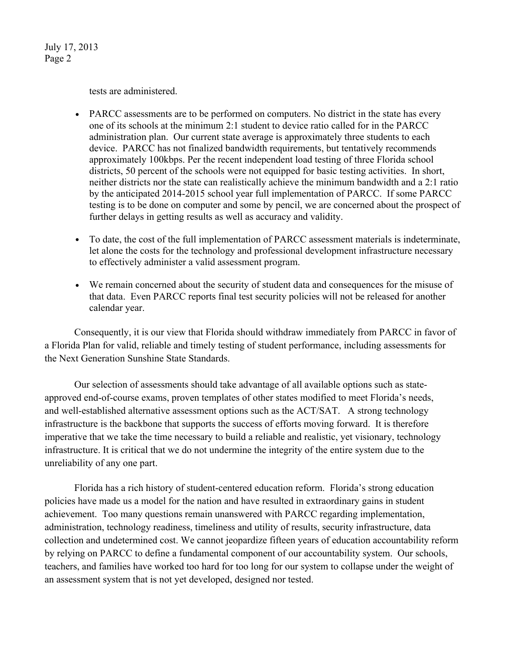July 17, 2013 Page 2

tests are administered.

- PARCC assessments are to be performed on computers. No district in the state has every one of its schools at the minimum 2:1 student to device ratio called for in the PARCC administration plan. Our current state average is approximately three students to each device. PARCC has not finalized bandwidth requirements, but tentatively recommends approximately 100kbps. Per the recent independent load testing of three Florida school districts, 50 percent of the schools were not equipped for basic testing activities. In short, neither districts nor the state can realistically achieve the minimum bandwidth and a 2:1 ratio by the anticipated 2014-2015 school year full implementation of PARCC. If some PARCC testing is to be done on computer and some by pencil, we are concerned about the prospect of further delays in getting results as well as accuracy and validity.
- To date, the cost of the full implementation of PARCC assessment materials is indeterminate, let alone the costs for the technology and professional development infrastructure necessary to effectively administer a valid assessment program.
- We remain concerned about the security of student data and consequences for the misuse of that data. Even PARCC reports final test security policies will not be released for another calendar year.

Consequently, it is our view that Florida should withdraw immediately from PARCC in favor of a Florida Plan for valid, reliable and timely testing of student performance, including assessments for the Next Generation Sunshine State Standards.

Our selection of assessments should take advantage of all available options such as stateapproved end-of-course exams, proven templates of other states modified to meet Florida's needs, and well-established alternative assessment options such as the ACT/SAT. A strong technology infrastructure is the backbone that supports the success of efforts moving forward. It is therefore imperative that we take the time necessary to build a reliable and realistic, yet visionary, technology infrastructure. It is critical that we do not undermine the integrity of the entire system due to the unreliability of any one part.

Florida has a rich history of student-centered education reform. Florida's strong education policies have made us a model for the nation and have resulted in extraordinary gains in student achievement. Too many questions remain unanswered with PARCC regarding implementation, administration, technology readiness, timeliness and utility of results, security infrastructure, data collection and undetermined cost. We cannot jeopardize fifteen years of education accountability reform by relying on PARCC to define a fundamental component of our accountability system. Our schools, teachers, and families have worked too hard for too long for our system to collapse under the weight of an assessment system that is not yet developed, designed nor tested.